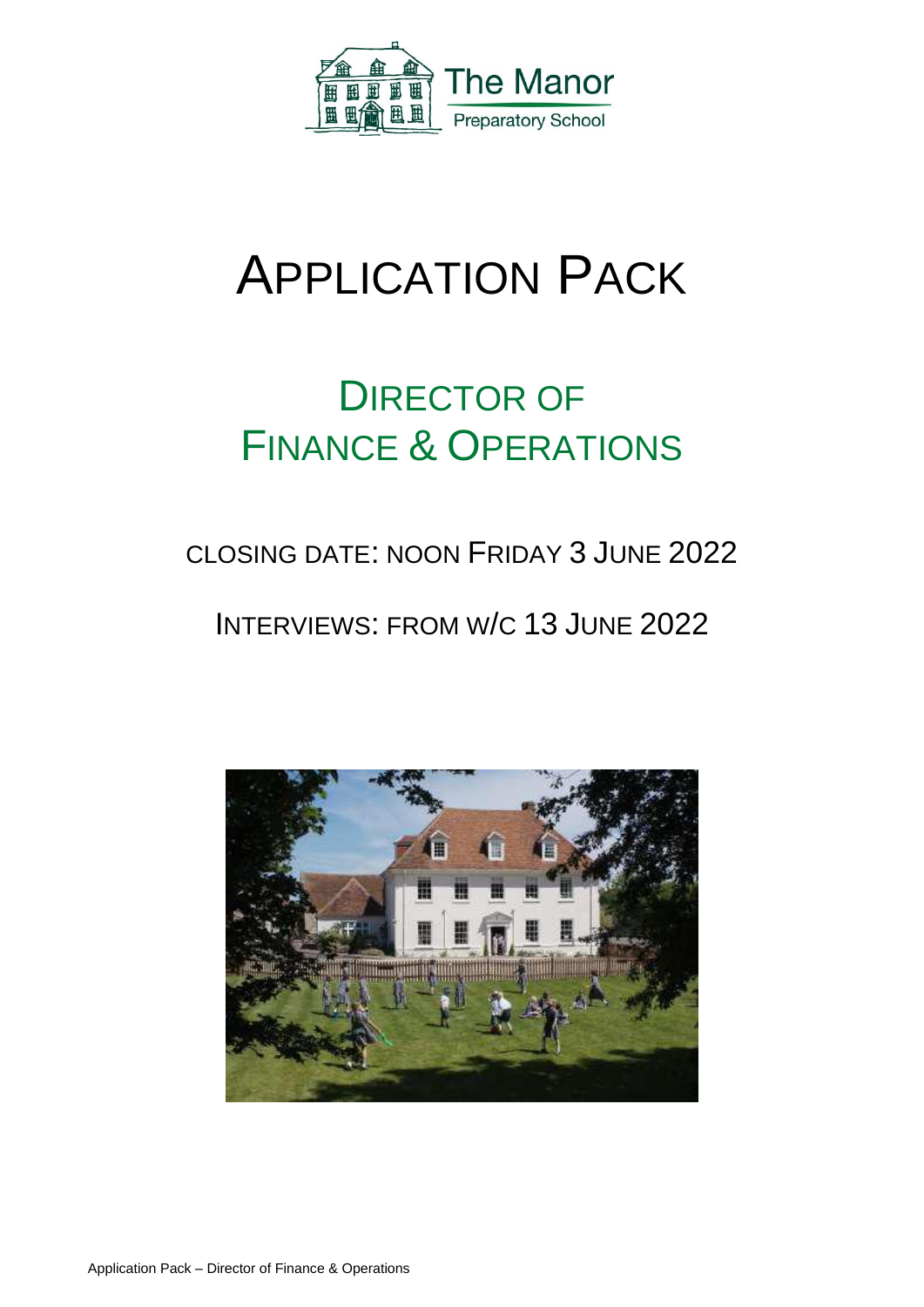

# APPLICATION PACK

## DIRECTOR OF FINANCE & OPERATIONS

## CLOSING DATE: NOON FRIDAY 3 JUNE 2022

### INTERVIEWS: FROM W/C 13 JUNE 2022

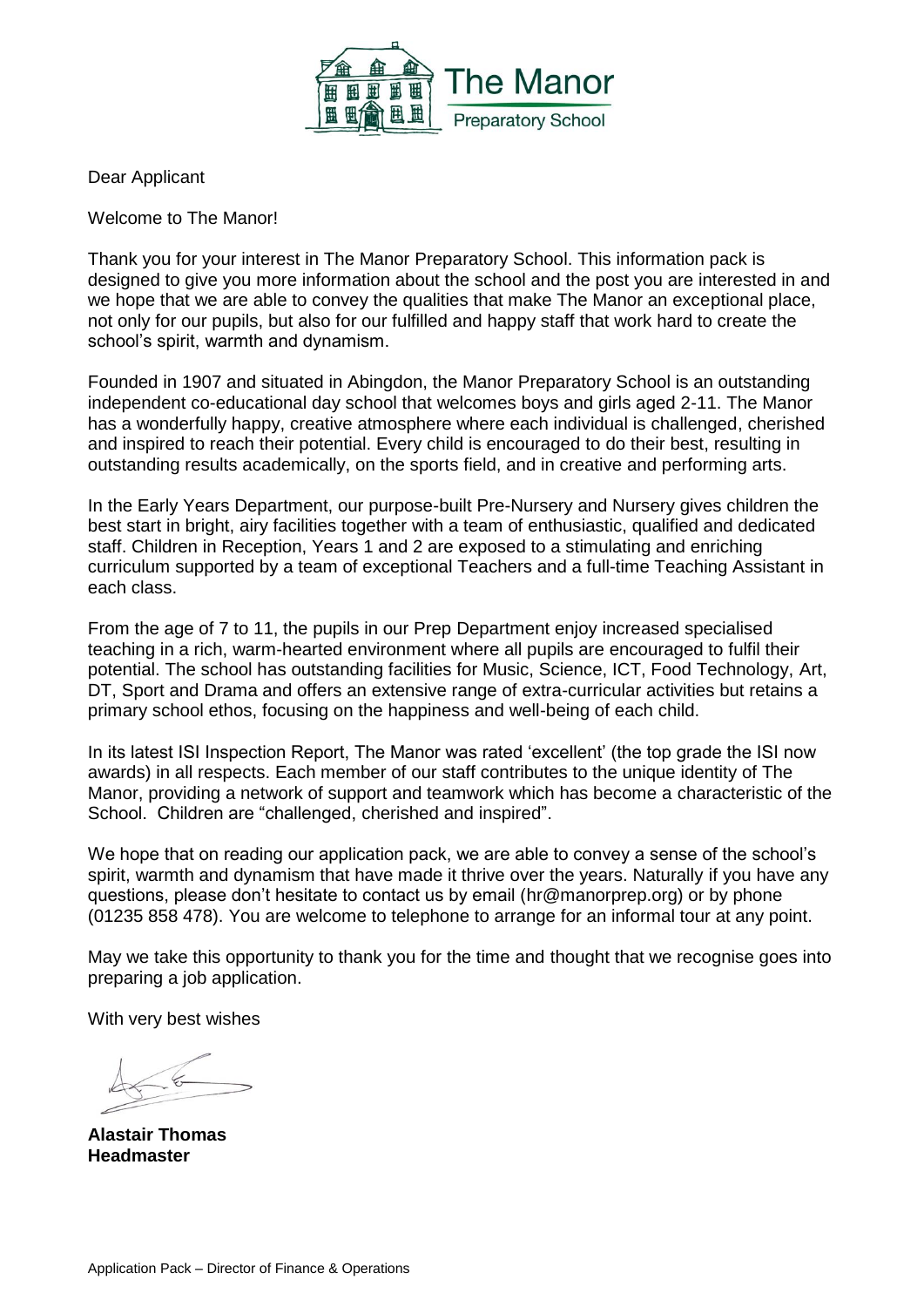

Dear Applicant

Welcome to The Manor!

Thank you for your interest in The Manor Preparatory School. This information pack is designed to give you more information about the school and the post you are interested in and we hope that we are able to convey the qualities that make The Manor an exceptional place, not only for our pupils, but also for our fulfilled and happy staff that work hard to create the school's spirit, warmth and dynamism.

Founded in 1907 and situated in Abingdon, the Manor Preparatory School is an outstanding independent co-educational day school that welcomes boys and girls aged 2-11. The Manor has a wonderfully happy, creative atmosphere where each individual is challenged, cherished and inspired to reach their potential. Every child is encouraged to do their best, resulting in outstanding results academically, on the sports field, and in creative and performing arts.

In the Early Years Department, our purpose-built Pre-Nursery and Nursery gives children the best start in bright, airy facilities together with a team of enthusiastic, qualified and dedicated staff. Children in Reception, Years 1 and 2 are exposed to a stimulating and enriching curriculum supported by a team of exceptional Teachers and a full-time Teaching Assistant in each class.

From the age of 7 to 11, the pupils in our Prep Department enjoy increased specialised teaching in a rich, warm-hearted environment where all pupils are encouraged to fulfil their potential. The school has outstanding facilities for Music, Science, ICT, Food Technology, Art, DT, Sport and Drama and offers an extensive range of extra-curricular activities but retains a primary school ethos, focusing on the happiness and well-being of each child.

In its latest ISI Inspection Report, The Manor was rated 'excellent' (the top grade the ISI now awards) in all respects. Each member of our staff contributes to the unique identity of The Manor, providing a network of support and teamwork which has become a characteristic of the School. Children are "challenged, cherished and inspired".

We hope that on reading our application pack, we are able to convey a sense of the school's spirit, warmth and dynamism that have made it thrive over the years. Naturally if you have any questions, please don't hesitate to contact us by email (hr@manorprep.org) or by phone (01235 858 478). You are welcome to telephone to arrange for an informal tour at any point.

May we take this opportunity to thank you for the time and thought that we recognise goes into preparing a job application.

With very best wishes

**Alastair Thomas Headmaster**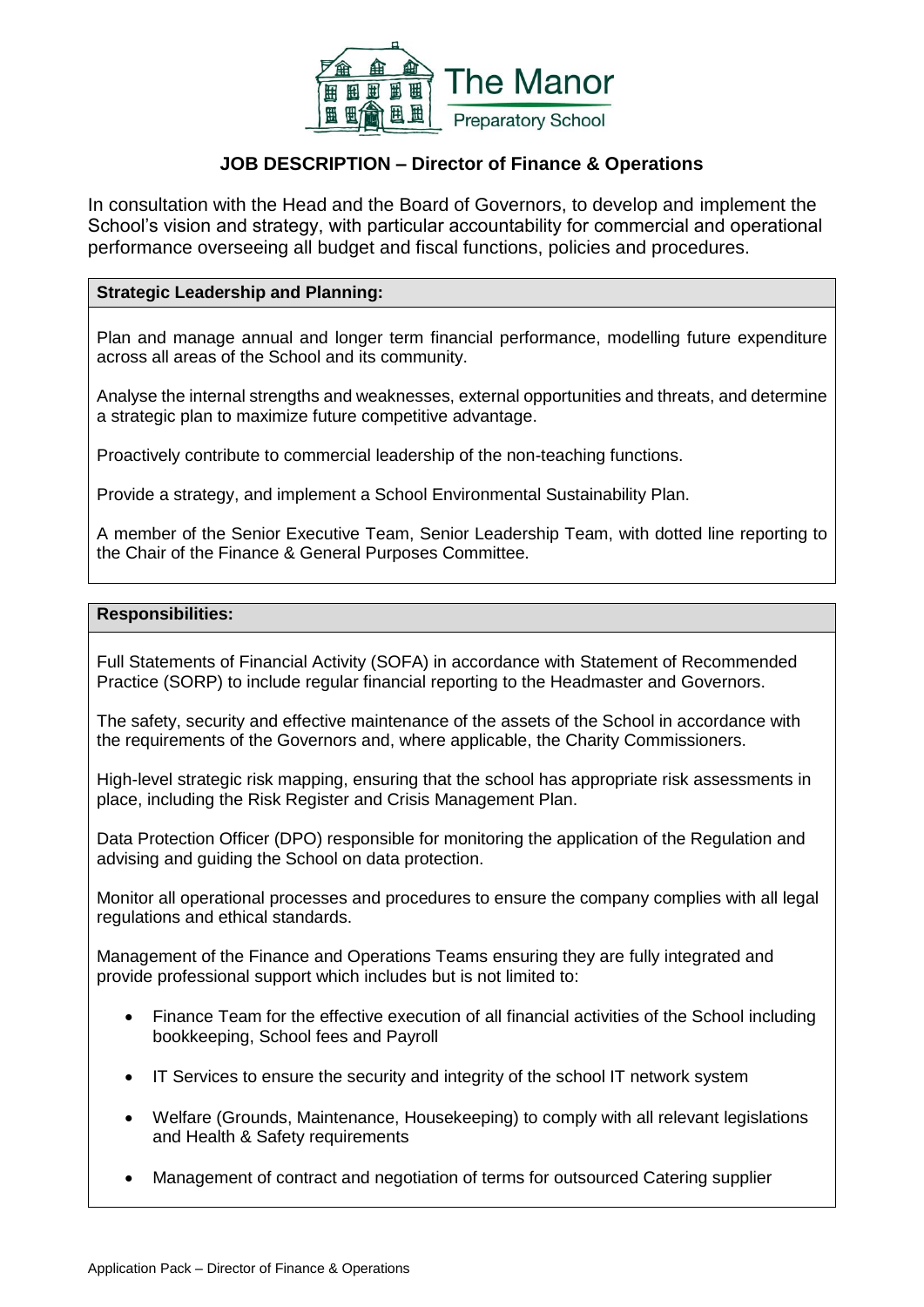

#### **JOB DESCRIPTION – Director of Finance & Operations**

In consultation with the Head and the Board of Governors, to develop and implement the School's vision and strategy, with particular accountability for commercial and operational performance overseeing all budget and fiscal functions, policies and procedures.

#### **Strategic Leadership and Planning:**

Plan and manage annual and longer term financial performance, modelling future expenditure across all areas of the School and its community.

Analyse the internal strengths and weaknesses, external opportunities and threats, and determine a strategic plan to maximize future competitive advantage.

Proactively contribute to commercial leadership of the non-teaching functions.

Provide a strategy, and implement a School Environmental Sustainability Plan.

A member of the Senior Executive Team, Senior Leadership Team, with dotted line reporting to the Chair of the Finance & General Purposes Committee.

#### **Responsibilities:**

Full Statements of Financial Activity (SOFA) in accordance with Statement of Recommended Practice (SORP) to include regular financial reporting to the Headmaster and Governors.

The safety, security and effective maintenance of the assets of the School in accordance with the requirements of the Governors and, where applicable, the Charity Commissioners.

High-level strategic risk mapping, ensuring that the school has appropriate risk assessments in place, including the Risk Register and Crisis Management Plan.

Data Protection Officer (DPO) responsible for monitoring the application of the Regulation and advising and guiding the School on data protection.

Monitor all operational processes and procedures to ensure the company complies with all legal regulations and ethical standards.

Management of the Finance and Operations Teams ensuring they are fully integrated and provide professional support which includes but is not limited to:

- Finance Team for the effective execution of all financial activities of the School including bookkeeping, School fees and Payroll
- IT Services to ensure the security and integrity of the school IT network system
- Welfare (Grounds, Maintenance, Housekeeping) to comply with all relevant legislations and Health & Safety requirements
- Management of contract and negotiation of terms for outsourced Catering supplier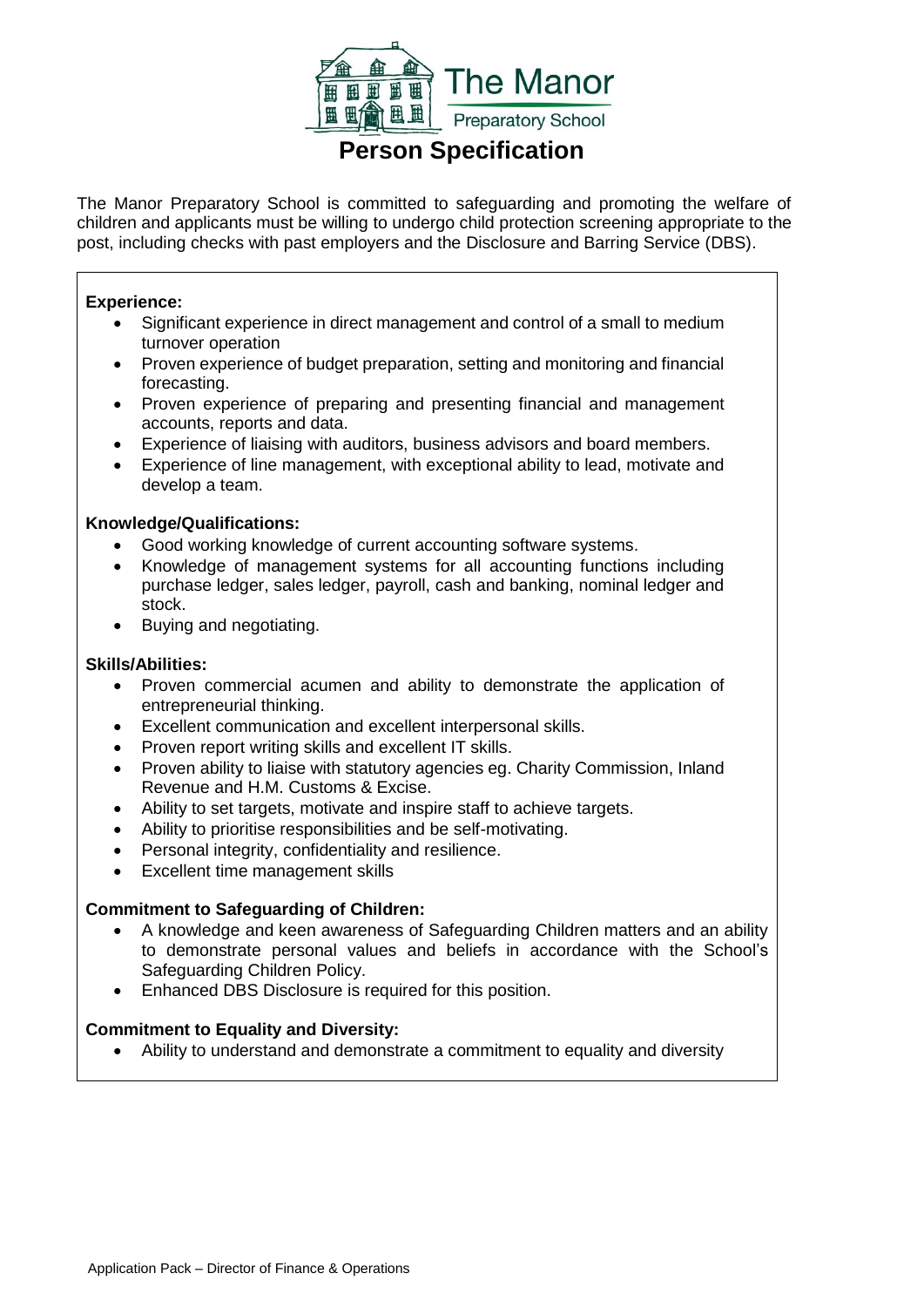

**Person Specification**

The Manor Preparatory School is committed to safeguarding and promoting the welfare of children and applicants must be willing to undergo child protection screening appropriate to the post, including checks with past employers and the Disclosure and Barring Service (DBS).

#### **Experience:**

- Significant experience in direct management and control of a small to medium turnover operation
- Proven experience of budget preparation, setting and monitoring and financial forecasting.
- Proven experience of preparing and presenting financial and management accounts, reports and data.
- Experience of liaising with auditors, business advisors and board members.
- Experience of line management, with exceptional ability to lead, motivate and develop a team.

#### **Knowledge/Qualifications:**

- Good working knowledge of current accounting software systems.
- Knowledge of management systems for all accounting functions including purchase ledger, sales ledger, payroll, cash and banking, nominal ledger and stock.
- Buying and negotiating.

#### **Skills/Abilities:**

- Proven commercial acumen and ability to demonstrate the application of entrepreneurial thinking.
- Excellent communication and excellent interpersonal skills.
- Proven report writing skills and excellent IT skills.
- Proven ability to liaise with statutory agencies eg. Charity Commission, Inland Revenue and H.M. Customs & Excise.
- Ability to set targets, motivate and inspire staff to achieve targets.
- Ability to prioritise responsibilities and be self-motivating.
- Personal integrity, confidentiality and resilience.
- Excellent time management skills

#### **Commitment to Safeguarding of Children:**

- A knowledge and keen awareness of Safeguarding Children matters and an ability to demonstrate personal values and beliefs in accordance with the School's Safeguarding Children Policy.
- Enhanced DBS Disclosure is required for this position.

#### **Commitment to Equality and Diversity:**

Ability to understand and demonstrate a commitment to equality and diversity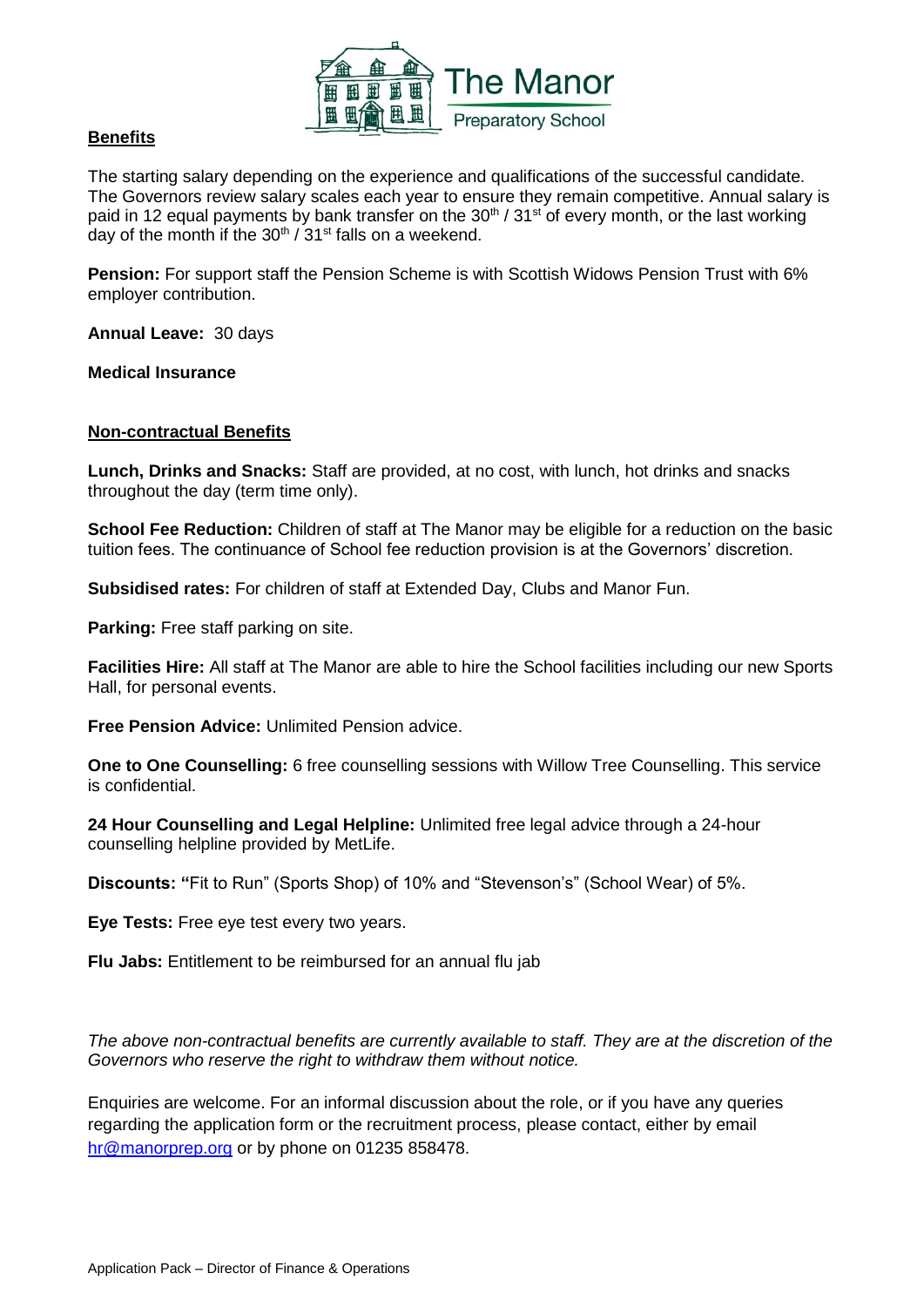

#### **Benefits**

The starting salary depending on the experience and qualifications of the successful candidate. The Governors review salary scales each year to ensure they remain competitive. Annual salary is paid in 12 equal payments by bank transfer on the  $30<sup>th</sup> / 31<sup>st</sup>$  of every month, or the last working day of the month if the  $30<sup>th</sup>$  /  $31<sup>st</sup>$  falls on a weekend.

**Pension:** For support staff the Pension Scheme is with Scottish Widows Pension Trust with 6% employer contribution.

**Annual Leave:** 30 days

**Medical Insurance**

#### **Non-contractual Benefits**

**Lunch, Drinks and Snacks:** Staff are provided, at no cost, with lunch, hot drinks and snacks throughout the day (term time only).

**School Fee Reduction:** Children of staff at The Manor may be eligible for a reduction on the basic tuition fees. The continuance of School fee reduction provision is at the Governors' discretion.

**Subsidised rates:** For children of staff at Extended Day, Clubs and Manor Fun.

**Parking:** Free staff parking on site.

**Facilities Hire:** All staff at The Manor are able to hire the School facilities including our new Sports Hall, for personal events.

**Free Pension Advice:** Unlimited Pension advice.

**One to One Counselling:** 6 free counselling sessions with Willow Tree Counselling. This service is confidential.

**24 Hour Counselling and Legal Helpline:** Unlimited free legal advice through a 24-hour counselling helpline provided by MetLife.

**Discounts: "**Fit to Run" (Sports Shop) of 10% and "Stevenson's" (School Wear) of 5%.

**Eye Tests:** Free eye test every two years.

**Flu Jabs:** Entitlement to be reimbursed for an annual flu jab

*The above non-contractual benefits are currently available to staff. They are at the discretion of the Governors who reserve the right to withdraw them without notice.* 

Enquiries are welcome. For an informal discussion about the role, or if you have any queries regarding the application form or the recruitment process, please contact, either by email [hr@manorprep.org](mailto:hr@manorprep.org) or by phone on 01235 858478.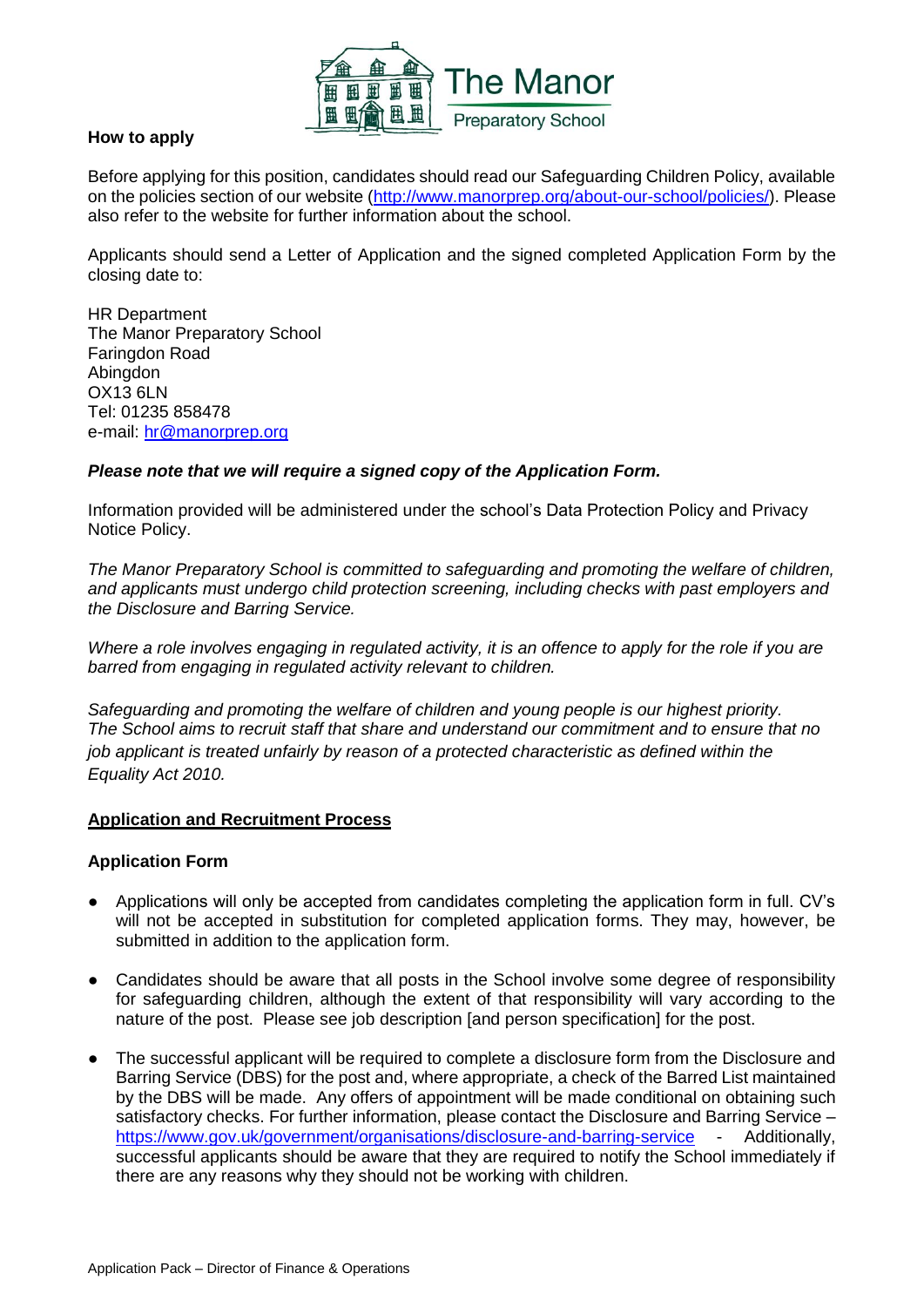

#### **How to apply**

Before applying for this position, candidates should read our Safeguarding Children Policy, available on the policies section of our website [\(http://www.manorprep.org/about-our-school/policies/\)](http://www.manorprep.org/about-our-school/policies/). Please also refer to the website for further information about the school.

Applicants should send a Letter of Application and the signed completed Application Form by the closing date to:

HR Department The Manor Preparatory School Faringdon Road Abingdon OX13 6LN Tel: 01235 858478 e-mail: [hr@manorprep.org](mailto:hr@manorprep.org)

#### *Please note that we will require a signed copy of the Application Form.*

Information provided will be administered under the school's Data Protection Policy and Privacy Notice Policy.

*The Manor Preparatory School is committed to safeguarding and promoting the welfare of children, and applicants must undergo child protection screening, including checks with past employers and the Disclosure and Barring Service.* 

*Where a role involves engaging in regulated activity, it is an offence to apply for the role if you are barred from engaging in regulated activity relevant to children.*

*Safeguarding and promoting the welfare of children and young people is our highest priority. The School aims to recruit staff that share and understand our commitment and to ensure that no job applicant is treated unfairly by reason of a protected characteristic as defined within the Equality Act 2010.*

#### **Application and Recruitment Process**

#### **Application Form**

- Applications will only be accepted from candidates completing the application form in full. CV's will not be accepted in substitution for completed application forms. They may, however, be submitted in addition to the application form.
- Candidates should be aware that all posts in the School involve some degree of responsibility for safeguarding children, although the extent of that responsibility will vary according to the nature of the post. Please see job description [and person specification] for the post.
- The successful applicant will be required to complete a disclosure form from the Disclosure and Barring Service (DBS) for the post and, where appropriate, a check of the Barred List maintained by the DBS will be made. Any offers of appointment will be made conditional on obtaining such satisfactory checks. For further information, please contact the Disclosure and Barring Service – <https://www.gov.uk/government/organisations/disclosure-and-barring-service> - Additionally, successful applicants should be aware that they are required to notify the School immediately if there are any reasons why they should not be working with children.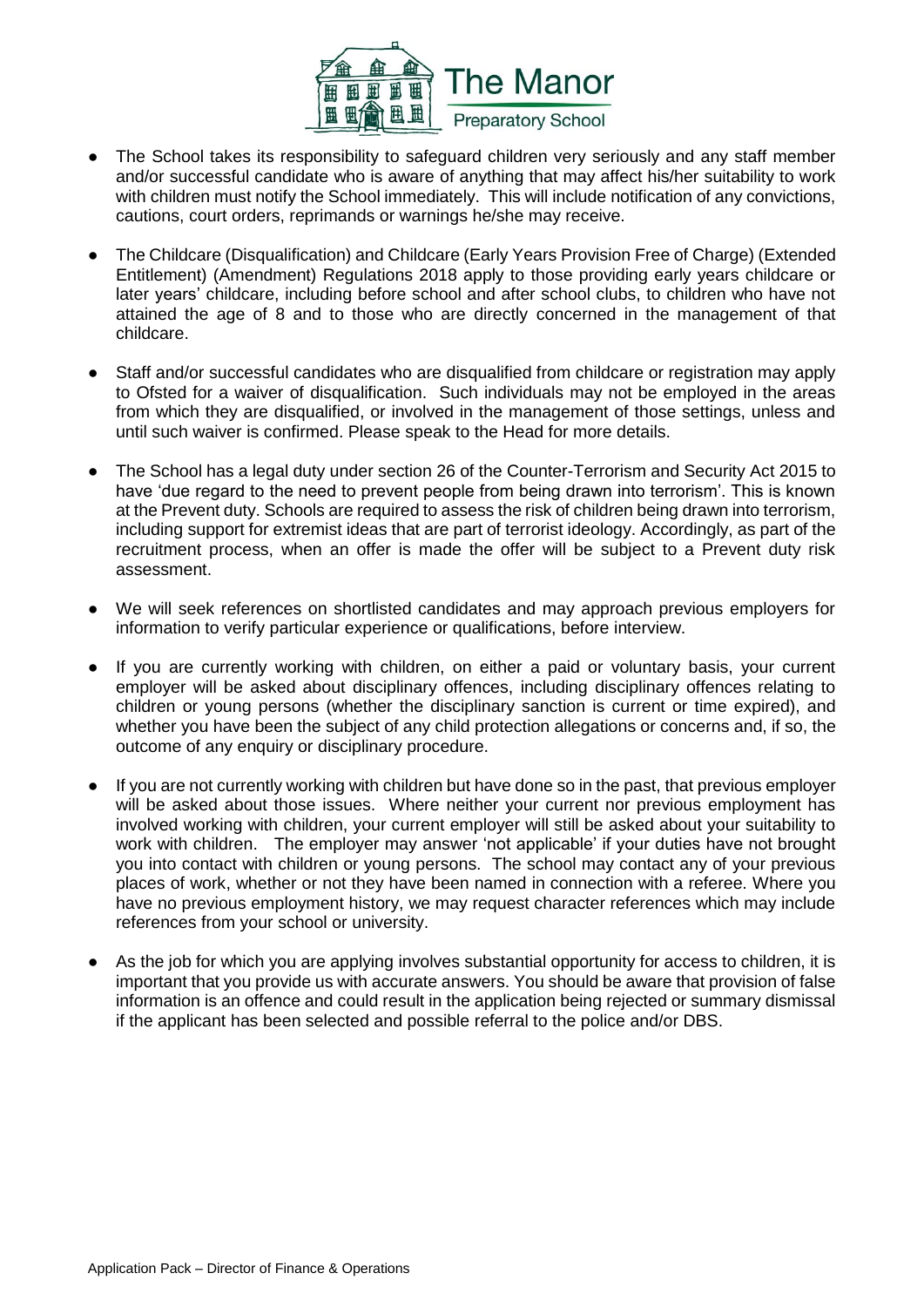

- The School takes its responsibility to safeguard children very seriously and any staff member and/or successful candidate who is aware of anything that may affect his/her suitability to work with children must notify the School immediately. This will include notification of any convictions, cautions, court orders, reprimands or warnings he/she may receive.
- The Childcare (Disqualification) and Childcare (Early Years Provision Free of Charge) (Extended Entitlement) (Amendment) Regulations 2018 apply to those providing early years childcare or later years' childcare, including before school and after school clubs, to children who have not attained the age of 8 and to those who are directly concerned in the management of that childcare.
- Staff and/or successful candidates who are disqualified from childcare or registration may apply to Ofsted for a waiver of disqualification. Such individuals may not be employed in the areas from which they are disqualified, or involved in the management of those settings, unless and until such waiver is confirmed. Please speak to the Head for more details.
- The School has a legal duty under section 26 of the Counter-Terrorism and Security Act 2015 to have 'due regard to the need to prevent people from being drawn into terrorism'. This is known at the Prevent duty. Schools are required to assess the risk of children being drawn into terrorism, including support for extremist ideas that are part of terrorist ideology. Accordingly, as part of the recruitment process, when an offer is made the offer will be subject to a Prevent duty risk assessment.
- We will seek references on shortlisted candidates and may approach previous employers for information to verify particular experience or qualifications, before interview.
- If you are currently working with children, on either a paid or voluntary basis, your current employer will be asked about disciplinary offences, including disciplinary offences relating to children or young persons (whether the disciplinary sanction is current or time expired), and whether you have been the subject of any child protection allegations or concerns and, if so, the outcome of any enquiry or disciplinary procedure.
- If you are not currently working with children but have done so in the past, that previous employer will be asked about those issues. Where neither your current nor previous employment has involved working with children, your current employer will still be asked about your suitability to work with children. The employer may answer 'not applicable' if your duties have not brought you into contact with children or young persons. The school may contact any of your previous places of work, whether or not they have been named in connection with a referee. Where you have no previous employment history, we may request character references which may include references from your school or university.
- As the job for which you are applying involves substantial opportunity for access to children, it is important that you provide us with accurate answers. You should be aware that provision of false information is an offence and could result in the application being rejected or summary dismissal if the applicant has been selected and possible referral to the police and/or DBS.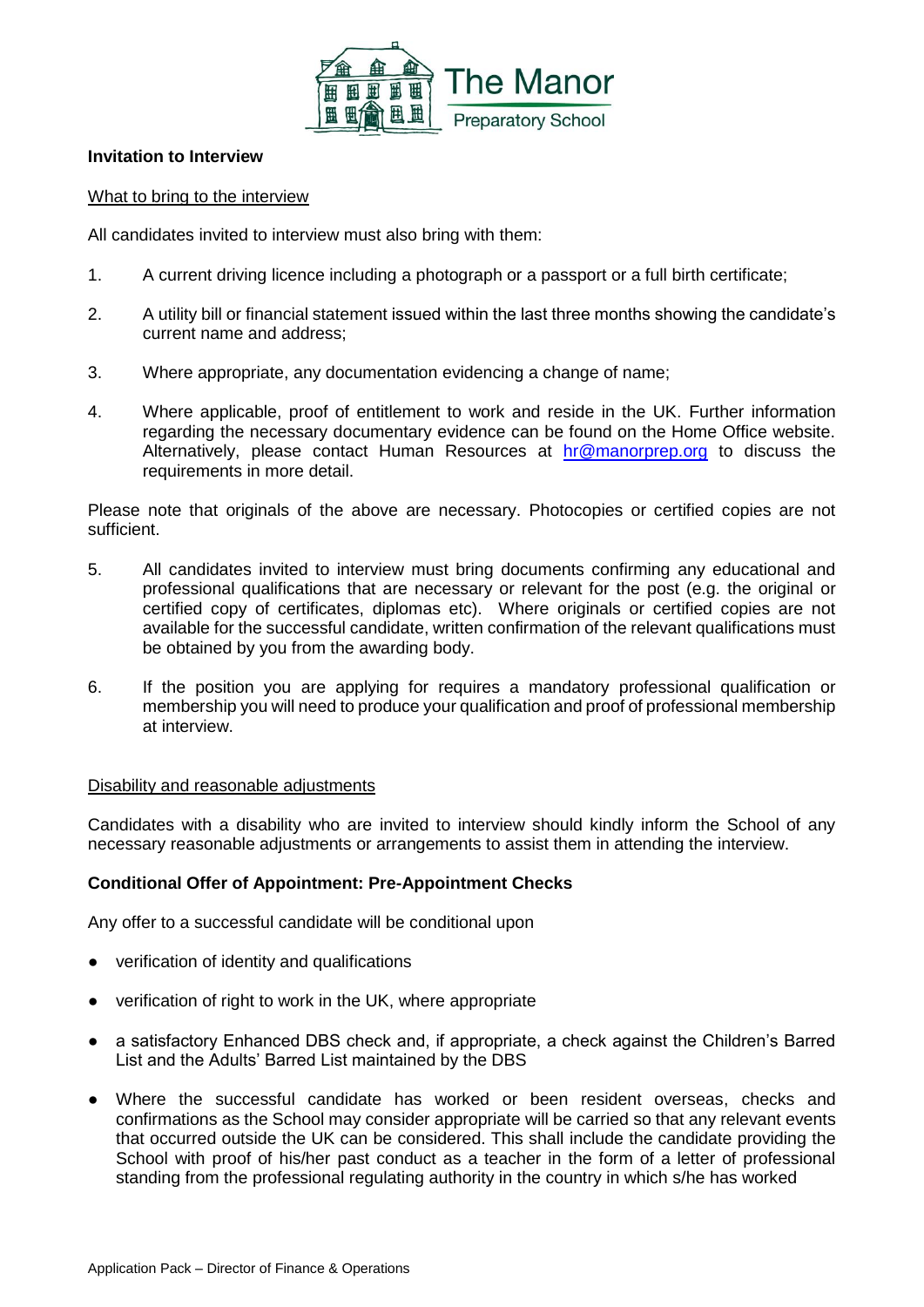

#### **Invitation to Interview**

#### What to bring to the interview

All candidates invited to interview must also bring with them:

- 1. A current driving licence including a photograph or a passport or a full birth certificate;
- 2. A utility bill or financial statement issued within the last three months showing the candidate's current name and address;
- 3. Where appropriate, any documentation evidencing a change of name:
- 4. Where applicable, proof of entitlement to work and reside in the UK. Further information regarding the necessary documentary evidence can be found on the Home Office website. Alternatively, please contact Human Resources at [hr@manorprep.org](mailto:hr@manorprep.org) to discuss the requirements in more detail.

Please note that originals of the above are necessary. Photocopies or certified copies are not sufficient.

- 5. All candidates invited to interview must bring documents confirming any educational and professional qualifications that are necessary or relevant for the post (e.g. the original or certified copy of certificates, diplomas etc). Where originals or certified copies are not available for the successful candidate, written confirmation of the relevant qualifications must be obtained by you from the awarding body.
- 6. If the position you are applying for requires a mandatory professional qualification or membership you will need to produce your qualification and proof of professional membership at interview.

#### Disability and reasonable adjustments

Candidates with a disability who are invited to interview should kindly inform the School of any necessary reasonable adjustments or arrangements to assist them in attending the interview.

#### **Conditional Offer of Appointment: Pre-Appointment Checks**

Any offer to a successful candidate will be conditional upon

- verification of identity and qualifications
- verification of right to work in the UK, where appropriate
- a satisfactory Enhanced DBS check and, if appropriate, a check against the Children's Barred List and the Adults' Barred List maintained by the DBS
- Where the successful candidate has worked or been resident overseas, checks and confirmations as the School may consider appropriate will be carried so that any relevant events that occurred outside the UK can be considered. This shall include the candidate providing the School with proof of his/her past conduct as a teacher in the form of a letter of professional standing from the professional regulating authority in the country in which s/he has worked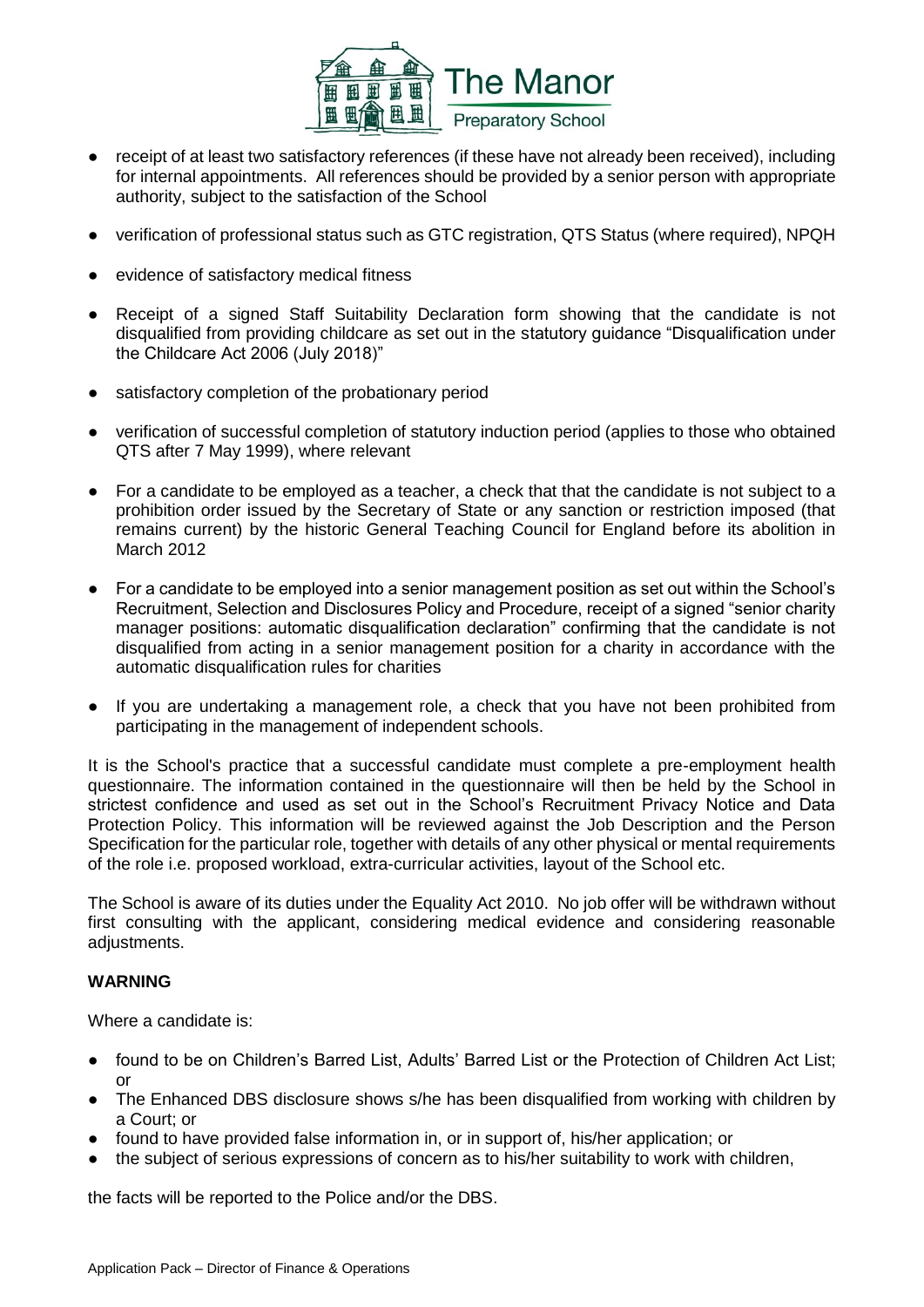

- receipt of at least two satisfactory references (if these have not already been received), including for internal appointments. All references should be provided by a senior person with appropriate authority, subject to the satisfaction of the School
- verification of professional status such as GTC registration, QTS Status (where required), NPQH
- evidence of satisfactory medical fitness
- Receipt of a signed Staff Suitability Declaration form showing that the candidate is not disqualified from providing childcare as set out in the statutory guidance "Disqualification under the Childcare Act 2006 (July 2018)"
- satisfactory completion of the probationary period
- verification of successful completion of statutory induction period (applies to those who obtained QTS after 7 May 1999), where relevant
- For a candidate to be employed as a teacher, a check that that the candidate is not subject to a prohibition order issued by the Secretary of State or any sanction or restriction imposed (that remains current) by the historic General Teaching Council for England before its abolition in March 2012
- For a candidate to be employed into a senior management position as set out within the School's Recruitment, Selection and Disclosures Policy and Procedure, receipt of a signed "senior charity manager positions: automatic disqualification declaration" confirming that the candidate is not disqualified from acting in a senior management position for a charity in accordance with the automatic disqualification rules for charities
- If you are undertaking a management role, a check that you have not been prohibited from participating in the management of independent schools.

It is the School's practice that a successful candidate must complete a pre-employment health questionnaire. The information contained in the questionnaire will then be held by the School in strictest confidence and used as set out in the School's Recruitment Privacy Notice and Data Protection Policy. This information will be reviewed against the Job Description and the Person Specification for the particular role, together with details of any other physical or mental requirements of the role i.e. proposed workload, extra-curricular activities, layout of the School etc.

The School is aware of its duties under the Equality Act 2010. No job offer will be withdrawn without first consulting with the applicant, considering medical evidence and considering reasonable adjustments.

#### **WARNING**

Where a candidate is:

- found to be on Children's Barred List, Adults' Barred List or the Protection of Children Act List; or
- The Enhanced DBS disclosure shows s/he has been disqualified from working with children by a Court; or
- found to have provided false information in, or in support of, his/her application; or
- the subject of serious expressions of concern as to his/her suitability to work with children,

the facts will be reported to the Police and/or the DBS.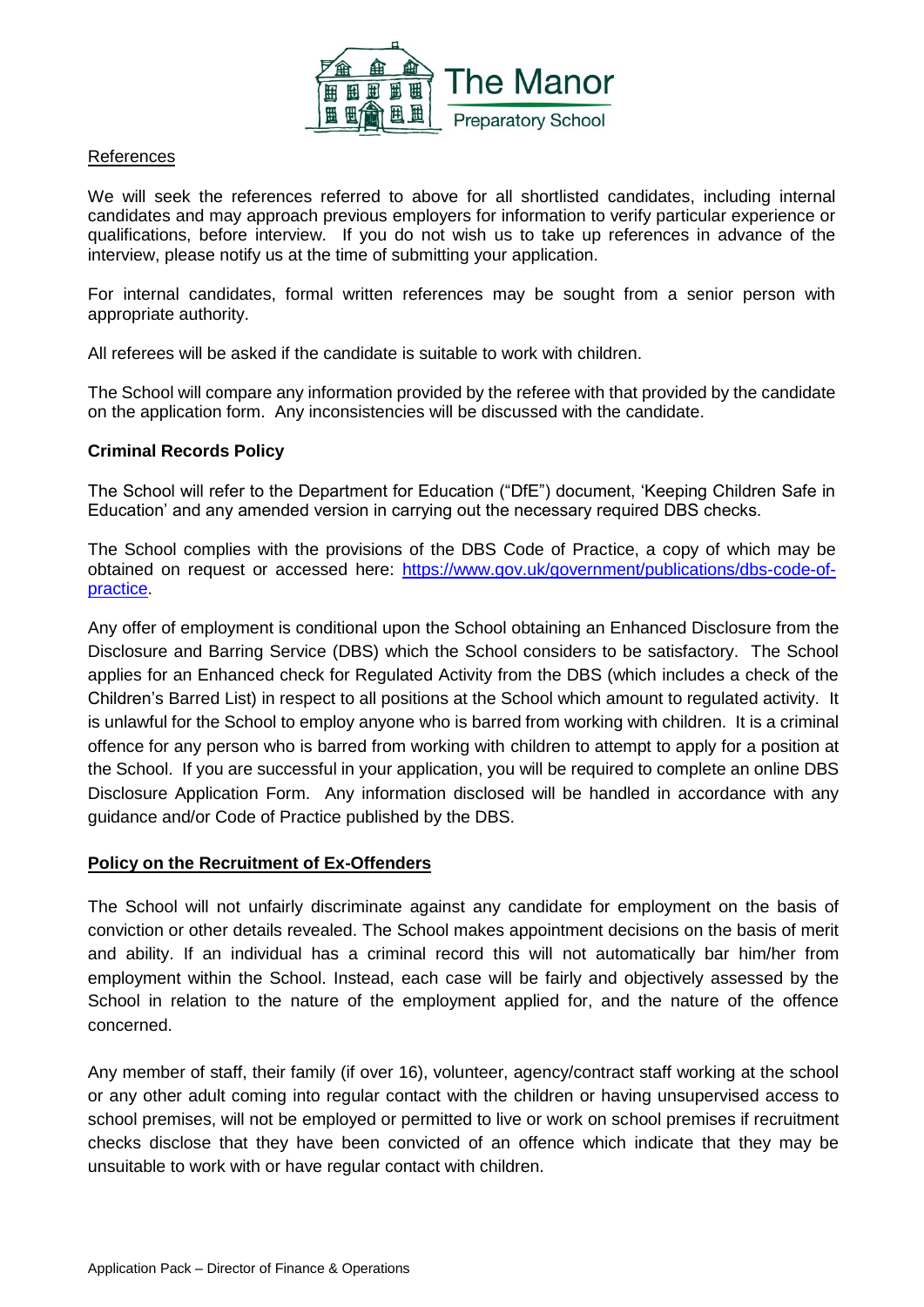

#### References

We will seek the references referred to above for all shortlisted candidates, including internal candidates and may approach previous employers for information to verify particular experience or qualifications, before interview. If you do not wish us to take up references in advance of the interview, please notify us at the time of submitting your application.

For internal candidates, formal written references may be sought from a senior person with appropriate authority.

All referees will be asked if the candidate is suitable to work with children.

The School will compare any information provided by the referee with that provided by the candidate on the application form. Any inconsistencies will be discussed with the candidate.

#### **Criminal Records Policy**

The School will refer to the Department for Education ("DfE") document, 'Keeping Children Safe in Education' and any amended version in carrying out the necessary required DBS checks.

The School complies with the provisions of the DBS Code of Practice, a copy of which may be obtained on request or accessed here: [https://www.gov.uk/government/publications/dbs-code-of](https://www.gov.uk/government/publications/dbs-code-of-practice)[practice.](https://www.gov.uk/government/publications/dbs-code-of-practice)

Any offer of employment is conditional upon the School obtaining an Enhanced Disclosure from the Disclosure and Barring Service (DBS) which the School considers to be satisfactory. The School applies for an Enhanced check for Regulated Activity from the DBS (which includes a check of the Children's Barred List) in respect to all positions at the School which amount to regulated activity. It is unlawful for the School to employ anyone who is barred from working with children. It is a criminal offence for any person who is barred from working with children to attempt to apply for a position at the School. If you are successful in your application, you will be required to complete an online DBS Disclosure Application Form. Any information disclosed will be handled in accordance with any guidance and/or Code of Practice published by the DBS.

#### **Policy on the Recruitment of Ex-Offenders**

The School will not unfairly discriminate against any candidate for employment on the basis of conviction or other details revealed. The School makes appointment decisions on the basis of merit and ability. If an individual has a criminal record this will not automatically bar him/her from employment within the School. Instead, each case will be fairly and objectively assessed by the School in relation to the nature of the employment applied for, and the nature of the offence concerned.

Any member of staff, their family (if over 16), volunteer, agency/contract staff working at the school or any other adult coming into regular contact with the children or having unsupervised access to school premises, will not be employed or permitted to live or work on school premises if recruitment checks disclose that they have been convicted of an offence which indicate that they may be unsuitable to work with or have regular contact with children.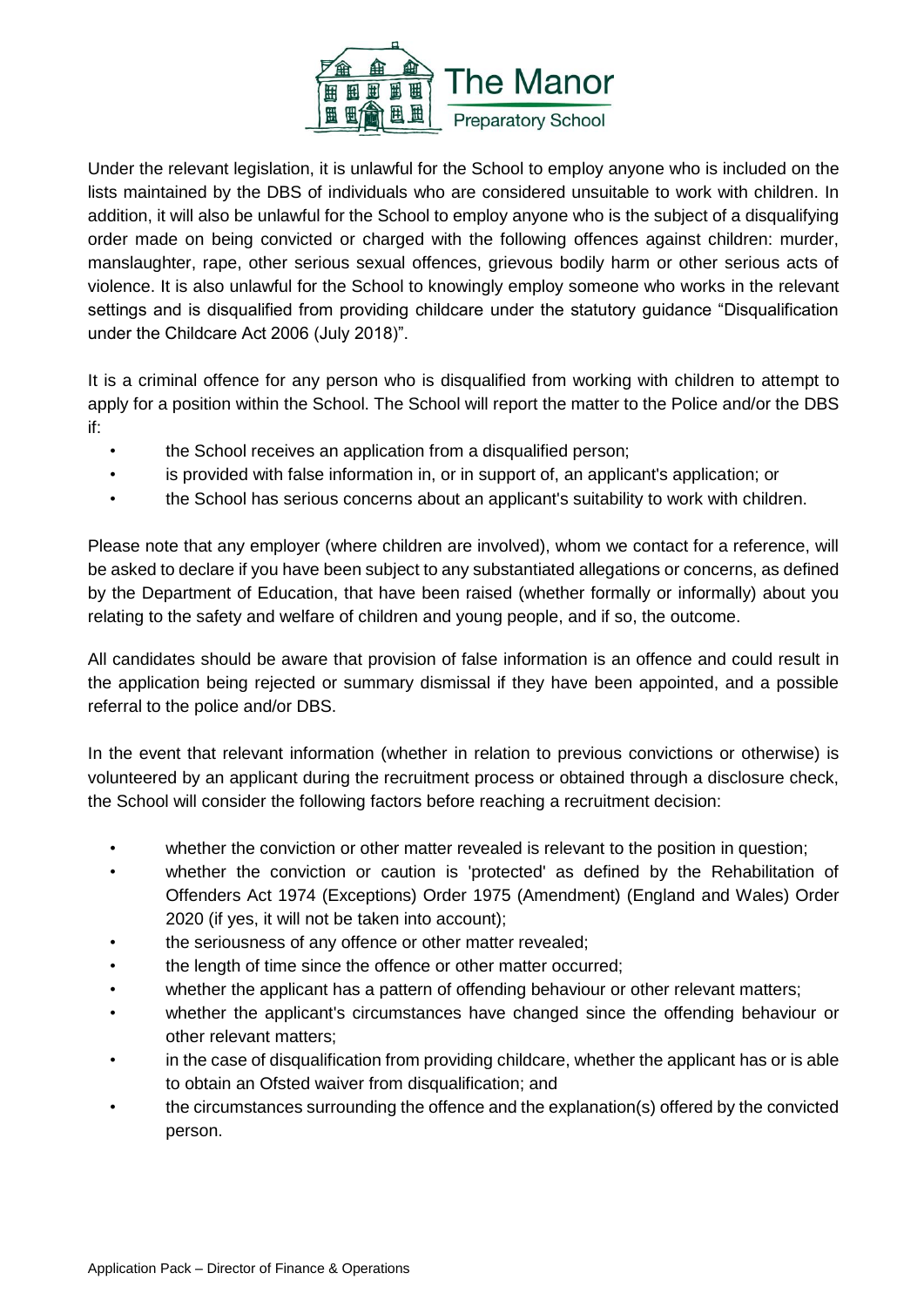

Under the relevant legislation, it is unlawful for the School to employ anyone who is included on the lists maintained by the DBS of individuals who are considered unsuitable to work with children. In addition, it will also be unlawful for the School to employ anyone who is the subject of a disqualifying order made on being convicted or charged with the following offences against children: murder, manslaughter, rape, other serious sexual offences, grievous bodily harm or other serious acts of violence. It is also unlawful for the School to knowingly employ someone who works in the relevant settings and is disqualified from providing childcare under the statutory guidance "Disqualification under the Childcare Act 2006 (July 2018)".

It is a criminal offence for any person who is disqualified from working with children to attempt to apply for a position within the School. The School will report the matter to the Police and/or the DBS if:

- the School receives an application from a disqualified person;
- is provided with false information in, or in support of, an applicant's application; or
- the School has serious concerns about an applicant's suitability to work with children.

Please note that any employer (where children are involved), whom we contact for a reference, will be asked to declare if you have been subject to any substantiated allegations or concerns, as defined by the Department of Education, that have been raised (whether formally or informally) about you relating to the safety and welfare of children and young people, and if so, the outcome.

All candidates should be aware that provision of false information is an offence and could result in the application being rejected or summary dismissal if they have been appointed, and a possible referral to the police and/or DBS.

In the event that relevant information (whether in relation to previous convictions or otherwise) is volunteered by an applicant during the recruitment process or obtained through a disclosure check, the School will consider the following factors before reaching a recruitment decision:

- whether the conviction or other matter revealed is relevant to the position in question;
- whether the conviction or caution is 'protected' as defined by the Rehabilitation of Offenders Act 1974 (Exceptions) Order 1975 (Amendment) (England and Wales) Order 2020 (if yes, it will not be taken into account);
- the seriousness of any offence or other matter revealed;
- the length of time since the offence or other matter occurred;
- whether the applicant has a pattern of offending behaviour or other relevant matters;
- whether the applicant's circumstances have changed since the offending behaviour or other relevant matters;
- in the case of disqualification from providing childcare, whether the applicant has or is able to obtain an Ofsted waiver from disqualification; and
- the circumstances surrounding the offence and the explanation(s) offered by the convicted person.